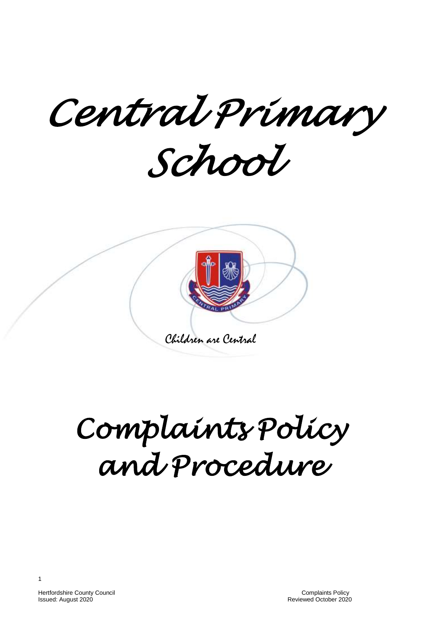*Central Primary* 

*School* 



# *Complaints Policy and Procedure*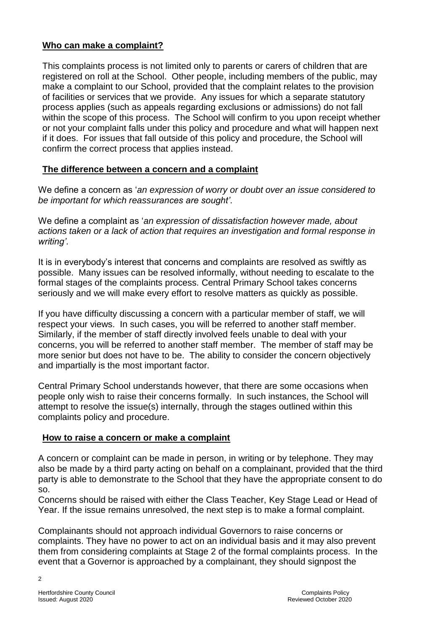#### **Who can make a complaint?**

This complaints process is not limited only to parents or carers of children that are registered on roll at the School. Other people, including members of the public, may make a complaint to our School, provided that the complaint relates to the provision of facilities or services that we provide. Any issues for which a separate statutory process applies (such as appeals regarding exclusions or admissions) do not fall within the scope of this process. The School will confirm to you upon receipt whether or not your complaint falls under this policy and procedure and what will happen next if it does. For issues that fall outside of this policy and procedure, the School will confirm the correct process that applies instead.

#### **The difference between a concern and a complaint**

We define a concern as '*an expression of worry or doubt over an issue considered to be important for which reassurances are sought'*.

We define a complaint as '*an expression of dissatisfaction however made, about actions taken or a lack of action that requires an investigation and formal response in writing'*.

It is in everybody's interest that concerns and complaints are resolved as swiftly as possible. Many issues can be resolved informally, without needing to escalate to the formal stages of the complaints process. Central Primary School takes concerns seriously and we will make every effort to resolve matters as quickly as possible.

If you have difficulty discussing a concern with a particular member of staff, we will respect your views. In such cases, you will be referred to another staff member. Similarly, if the member of staff directly involved feels unable to deal with your concerns, you will be referred to another staff member. The member of staff may be more senior but does not have to be. The ability to consider the concern objectively and impartially is the most important factor.

Central Primary School understands however, that there are some occasions when people only wish to raise their concerns formally. In such instances, the School will attempt to resolve the issue(s) internally, through the stages outlined within this complaints policy and procedure.

#### **How to raise a concern or make a complaint**

A concern or complaint can be made in person, in writing or by telephone. They may also be made by a third party acting on behalf on a complainant, provided that the third party is able to demonstrate to the School that they have the appropriate consent to do so.

Concerns should be raised with either the Class Teacher, Key Stage Lead or Head of Year. If the issue remains unresolved, the next step is to make a formal complaint.

Complainants should not approach individual Governors to raise concerns or complaints. They have no power to act on an individual basis and it may also prevent them from considering complaints at Stage 2 of the formal complaints process. In the event that a Governor is approached by a complainant, they should signpost the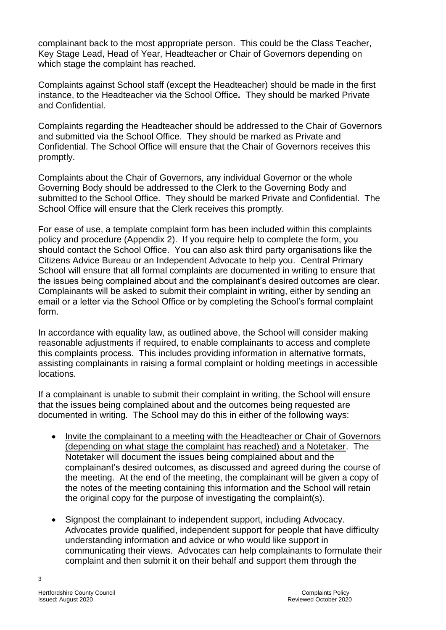complainant back to the most appropriate person. This could be the Class Teacher, Key Stage Lead, Head of Year, Headteacher or Chair of Governors depending on which stage the complaint has reached.

Complaints against School staff (except the Headteacher) should be made in the first instance, to the Headteacher via the School Office*.* They should be marked Private and Confidential.

Complaints regarding the Headteacher should be addressed to the Chair of Governors and submitted via the School Office. They should be marked as Private and Confidential. The School Office will ensure that the Chair of Governors receives this promptly.

Complaints about the Chair of Governors, any individual Governor or the whole Governing Body should be addressed to the Clerk to the Governing Body and submitted to the School Office. They should be marked Private and Confidential. The School Office will ensure that the Clerk receives this promptly.

For ease of use, a template complaint form has been included within this complaints policy and procedure (Appendix 2). If you require help to complete the form, you should contact the School Office. You can also ask third party organisations like the Citizens Advice Bureau or an Independent Advocate to help you. Central Primary School will ensure that all formal complaints are documented in writing to ensure that the issues being complained about and the complainant's desired outcomes are clear. Complainants will be asked to submit their complaint in writing, either by sending an email or a letter via the School Office or by completing the School's formal complaint form.

In accordance with equality law, as outlined above, the School will consider making reasonable adjustments if required, to enable complainants to access and complete this complaints process. This includes providing information in alternative formats, assisting complainants in raising a formal complaint or holding meetings in accessible locations.

If a complainant is unable to submit their complaint in writing, the School will ensure that the issues being complained about and the outcomes being requested are documented in writing. The School may do this in either of the following ways:

- Invite the complainant to a meeting with the Headteacher or Chair of Governors (depending on what stage the complaint has reached) and a Notetaker. The Notetaker will document the issues being complained about and the complainant's desired outcomes, as discussed and agreed during the course of the meeting. At the end of the meeting, the complainant will be given a copy of the notes of the meeting containing this information and the School will retain the original copy for the purpose of investigating the complaint(s).
- Signpost the complainant to independent support, including Advocacy. Advocates provide qualified, independent support for people that have difficulty understanding information and advice or who would like support in communicating their views. Advocates can help complainants to formulate their complaint and then submit it on their behalf and support them through the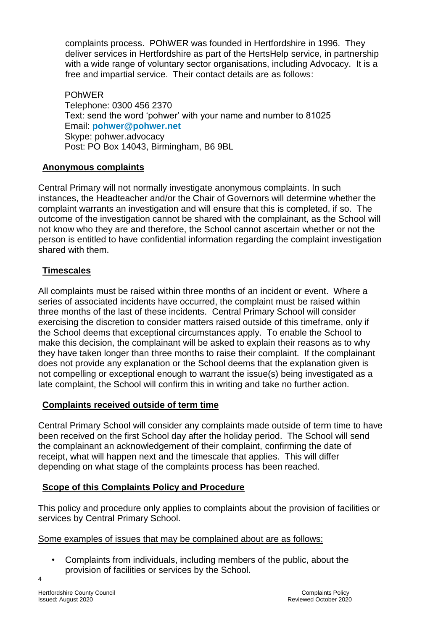complaints process. POhWER was founded in Hertfordshire in 1996. They deliver services in Hertfordshire as part of the HertsHelp service, in partnership with a wide range of voluntary sector organisations, including Advocacy. It is a free and impartial service. Their contact details are as follows:

POhWER Telephone: 0300 456 2370 Text: send the word 'pohwer' with your name and number to 81025 Email: **[pohwer@pohwer.net](mailto:pohwer@pohwer.net)** Skype: pohwer.advocacy Post: PO Box 14043, Birmingham, B6 9BL

# **Anonymous complaints**

Central Primary will not normally investigate anonymous complaints. In such instances, the Headteacher and/or the Chair of Governors will determine whether the complaint warrants an investigation and will ensure that this is completed, if so. The outcome of the investigation cannot be shared with the complainant, as the School will not know who they are and therefore, the School cannot ascertain whether or not the person is entitled to have confidential information regarding the complaint investigation shared with them.

# **Timescales**

All complaints must be raised within three months of an incident or event. Where a series of associated incidents have occurred, the complaint must be raised within three months of the last of these incidents. Central Primary School will consider exercising the discretion to consider matters raised outside of this timeframe, only if the School deems that exceptional circumstances apply. To enable the School to make this decision, the complainant will be asked to explain their reasons as to why they have taken longer than three months to raise their complaint. If the complainant does not provide any explanation or the School deems that the explanation given is not compelling or exceptional enough to warrant the issue(s) being investigated as a late complaint, the School will confirm this in writing and take no further action.

#### **Complaints received outside of term time**

Central Primary School will consider any complaints made outside of term time to have been received on the first School day after the holiday period. The School will send the complainant an acknowledgement of their complaint, confirming the date of receipt, what will happen next and the timescale that applies. This will differ depending on what stage of the complaints process has been reached.

#### **Scope of this Complaints Policy and Procedure**

This policy and procedure only applies to complaints about the provision of facilities or services by Central Primary School.

#### Some examples of issues that may be complained about are as follows:

• Complaints from individuals, including members of the public, about the provision of facilities or services by the School.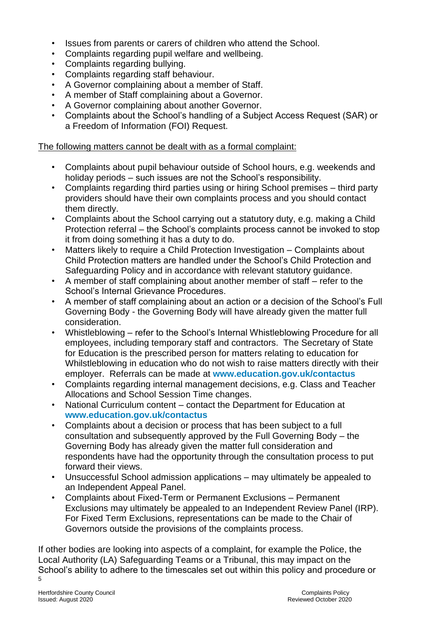- Issues from parents or carers of children who attend the School.
- Complaints regarding pupil welfare and wellbeing.
- Complaints regarding bullying.
- Complaints regarding staff behaviour.
- A Governor complaining about a member of Staff.
- A member of Staff complaining about a Governor.
- A Governor complaining about another Governor.
- Complaints about the School's handling of a Subject Access Request (SAR) or a Freedom of Information (FOI) Request.

#### The following matters cannot be dealt with as a formal complaint:

- Complaints about pupil behaviour outside of School hours, e.g. weekends and holiday periods – such issues are not the School's responsibility.
- Complaints regarding third parties using or hiring School premises third party providers should have their own complaints process and you should contact them directly.
- Complaints about the School carrying out a statutory duty, e.g. making a Child Protection referral – the School's complaints process cannot be invoked to stop it from doing something it has a duty to do.
- Matters likely to require a Child Protection Investigation Complaints about Child Protection matters are handled under the School's Child Protection and Safeguarding Policy and in accordance with relevant statutory guidance.
- A member of staff complaining about another member of staff refer to the School's Internal Grievance Procedures.
- A member of staff complaining about an action or a decision of the School's Full Governing Body - the Governing Body will have already given the matter full consideration.
- Whistleblowing refer to the School's Internal Whistleblowing Procedure for all employees, including temporary staff and contractors. The Secretary of State for Education is the prescribed person for matters relating to education for Whilstleblowing in education who do not wish to raise matters directly with their employer. Referrals can be made at **[www.education.gov.uk/contactus](http://www.education.gov.uk/contactus)**
- Complaints regarding internal management decisions, e.g. Class and Teacher Allocations and School Session Time changes.
- National Curriculum content contact the Department for Education at **[www.education.gov.uk/contactus](http://www.education.gov.uk/contactus)**
- Complaints about a decision or process that has been subject to a full consultation and subsequently approved by the Full Governing Body – the Governing Body has already given the matter full consideration and respondents have had the opportunity through the consultation process to put forward their views.
- Unsuccessful School admission applications may ultimately be appealed to an Independent Appeal Panel.
- Complaints about Fixed-Term or Permanent Exclusions Permanent Exclusions may ultimately be appealed to an Independent Review Panel (IRP). For Fixed Term Exclusions, representations can be made to the Chair of Governors outside the provisions of the complaints process.

 $5\overline{ }$ If other bodies are looking into aspects of a complaint, for example the Police, the Local Authority (LA) Safeguarding Teams or a Tribunal, this may impact on the School's ability to adhere to the timescales set out within this policy and procedure or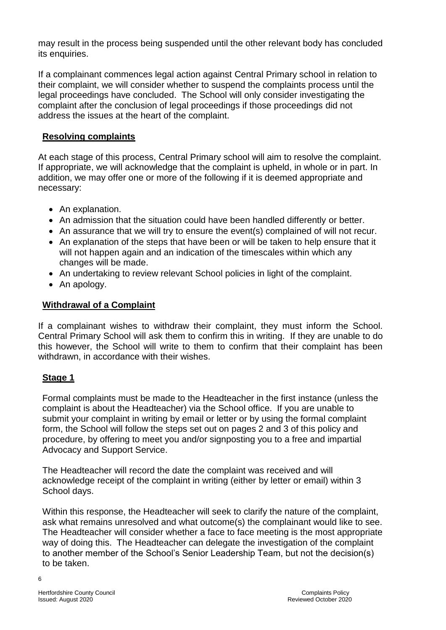may result in the process being suspended until the other relevant body has concluded its enquiries.

If a complainant commences legal action against Central Primary school in relation to their complaint, we will consider whether to suspend the complaints process until the legal proceedings have concluded. The School will only consider investigating the complaint after the conclusion of legal proceedings if those proceedings did not address the issues at the heart of the complaint.

#### **Resolving complaints**

At each stage of this process, Central Primary school will aim to resolve the complaint. If appropriate, we will acknowledge that the complaint is upheld, in whole or in part. In addition, we may offer one or more of the following if it is deemed appropriate and necessary:

- An explanation.
- An admission that the situation could have been handled differently or better.
- An assurance that we will try to ensure the event(s) complained of will not recur.
- An explanation of the steps that have been or will be taken to help ensure that it will not happen again and an indication of the timescales within which any changes will be made.
- An undertaking to review relevant School policies in light of the complaint.
- An apology.

#### **Withdrawal of a Complaint**

If a complainant wishes to withdraw their complaint, they must inform the School. Central Primary School will ask them to confirm this in writing. If they are unable to do this however, the School will write to them to confirm that their complaint has been withdrawn, in accordance with their wishes.

#### **Stage 1**

Formal complaints must be made to the Headteacher in the first instance (unless the complaint is about the Headteacher) via the School office. If you are unable to submit your complaint in writing by email or letter or by using the formal complaint form, the School will follow the steps set out on pages 2 and 3 of this policy and procedure, by offering to meet you and/or signposting you to a free and impartial Advocacy and Support Service.

The Headteacher will record the date the complaint was received and will acknowledge receipt of the complaint in writing (either by letter or email) within 3 School days.

Within this response, the Headteacher will seek to clarify the nature of the complaint, ask what remains unresolved and what outcome(s) the complainant would like to see. The Headteacher will consider whether a face to face meeting is the most appropriate way of doing this. The Headteacher can delegate the investigation of the complaint to another member of the School's Senior Leadership Team, but not the decision(s) to be taken.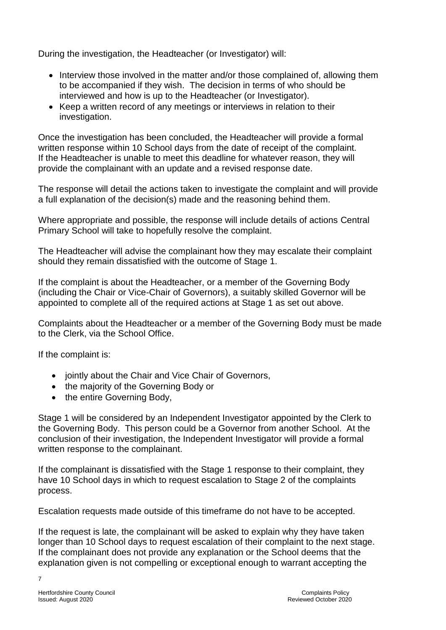During the investigation, the Headteacher (or Investigator) will:

- Interview those involved in the matter and/or those complained of, allowing them to be accompanied if they wish. The decision in terms of who should be interviewed and how is up to the Headteacher (or Investigator).
- Keep a written record of any meetings or interviews in relation to their investigation.

Once the investigation has been concluded, the Headteacher will provide a formal written response within 10 School days from the date of receipt of the complaint. If the Headteacher is unable to meet this deadline for whatever reason, they will provide the complainant with an update and a revised response date.

The response will detail the actions taken to investigate the complaint and will provide a full explanation of the decision(s) made and the reasoning behind them.

Where appropriate and possible, the response will include details of actions Central Primary School will take to hopefully resolve the complaint.

The Headteacher will advise the complainant how they may escalate their complaint should they remain dissatisfied with the outcome of Stage 1.

If the complaint is about the Headteacher, or a member of the Governing Body (including the Chair or Vice-Chair of Governors), a suitably skilled Governor will be appointed to complete all of the required actions at Stage 1 as set out above.

Complaints about the Headteacher or a member of the Governing Body must be made to the Clerk, via the School Office.

If the complaint is:

- jointly about the Chair and Vice Chair of Governors,
- the majority of the Governing Body or
- the entire Governing Body,

Stage 1 will be considered by an Independent Investigator appointed by the Clerk to the Governing Body. This person could be a Governor from another School. At the conclusion of their investigation, the Independent Investigator will provide a formal written response to the complainant.

If the complainant is dissatisfied with the Stage 1 response to their complaint, they have 10 School days in which to request escalation to Stage 2 of the complaints process.

Escalation requests made outside of this timeframe do not have to be accepted.

If the request is late, the complainant will be asked to explain why they have taken longer than 10 School days to request escalation of their complaint to the next stage. If the complainant does not provide any explanation or the School deems that the explanation given is not compelling or exceptional enough to warrant accepting the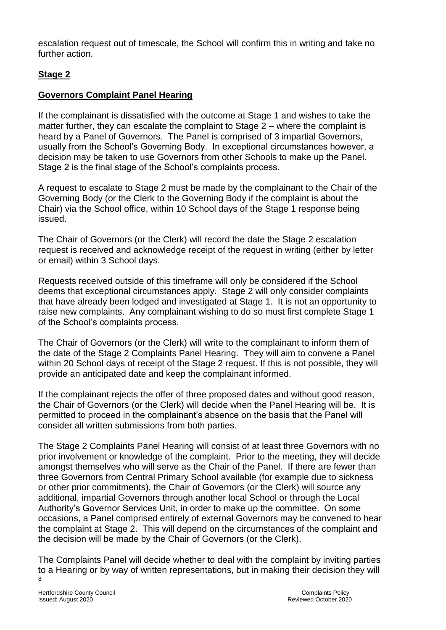escalation request out of timescale, the School will confirm this in writing and take no further action.

# **Stage 2**

# **Governors Complaint Panel Hearing**

If the complainant is dissatisfied with the outcome at Stage 1 and wishes to take the matter further, they can escalate the complaint to Stage 2 – where the complaint is heard by a Panel of Governors. The Panel is comprised of 3 impartial Governors, usually from the School's Governing Body. In exceptional circumstances however, a decision may be taken to use Governors from other Schools to make up the Panel. Stage 2 is the final stage of the School's complaints process.

A request to escalate to Stage 2 must be made by the complainant to the Chair of the Governing Body (or the Clerk to the Governing Body if the complaint is about the Chair) via the School office, within 10 School days of the Stage 1 response being issued.

The Chair of Governors (or the Clerk) will record the date the Stage 2 escalation request is received and acknowledge receipt of the request in writing (either by letter or email) within 3 School days.

Requests received outside of this timeframe will only be considered if the School deems that exceptional circumstances apply. Stage 2 will only consider complaints that have already been lodged and investigated at Stage 1. It is not an opportunity to raise new complaints. Any complainant wishing to do so must first complete Stage 1 of the School's complaints process.

The Chair of Governors (or the Clerk) will write to the complainant to inform them of the date of the Stage 2 Complaints Panel Hearing. They will aim to convene a Panel within 20 School days of receipt of the Stage 2 request. If this is not possible, they will provide an anticipated date and keep the complainant informed.

If the complainant rejects the offer of three proposed dates and without good reason, the Chair of Governors (or the Clerk) will decide when the Panel Hearing will be. It is permitted to proceed in the complainant's absence on the basis that the Panel will consider all written submissions from both parties.

The Stage 2 Complaints Panel Hearing will consist of at least three Governors with no prior involvement or knowledge of the complaint. Prior to the meeting, they will decide amongst themselves who will serve as the Chair of the Panel. If there are fewer than three Governors from Central Primary School available (for example due to sickness or other prior commitments), the Chair of Governors (or the Clerk) will source any additional, impartial Governors through another local School or through the Local Authority's Governor Services Unit, in order to make up the committee. On some occasions, a Panel comprised entirely of external Governors may be convened to hear the complaint at Stage 2. This will depend on the circumstances of the complaint and the decision will be made by the Chair of Governors (or the Clerk).

8 The Complaints Panel will decide whether to deal with the complaint by inviting parties to a Hearing or by way of written representations, but in making their decision they will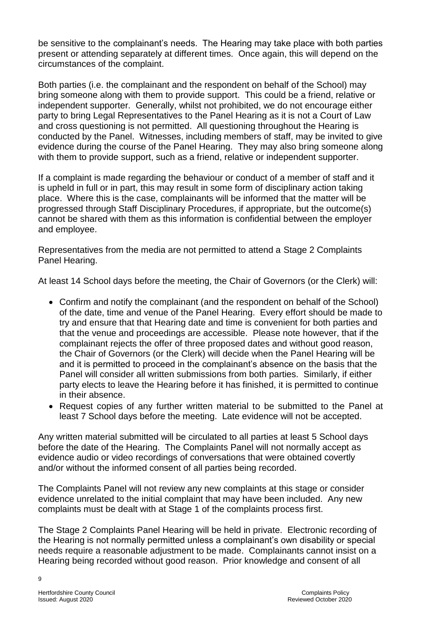be sensitive to the complainant's needs. The Hearing may take place with both parties present or attending separately at different times. Once again, this will depend on the circumstances of the complaint.

Both parties (i.e. the complainant and the respondent on behalf of the School) may bring someone along with them to provide support. This could be a friend, relative or independent supporter. Generally, whilst not prohibited, we do not encourage either party to bring Legal Representatives to the Panel Hearing as it is not a Court of Law and cross questioning is not permitted. All questioning throughout the Hearing is conducted by the Panel. Witnesses, including members of staff, may be invited to give evidence during the course of the Panel Hearing. They may also bring someone along with them to provide support, such as a friend, relative or independent supporter.

If a complaint is made regarding the behaviour or conduct of a member of staff and it is upheld in full or in part, this may result in some form of disciplinary action taking place. Where this is the case, complainants will be informed that the matter will be progressed through Staff Disciplinary Procedures, if appropriate, but the outcome(s) cannot be shared with them as this information is confidential between the employer and employee.

Representatives from the media are not permitted to attend a Stage 2 Complaints Panel Hearing.

At least 14 School days before the meeting, the Chair of Governors (or the Clerk) will:

- Confirm and notify the complainant (and the respondent on behalf of the School) of the date, time and venue of the Panel Hearing. Every effort should be made to try and ensure that that Hearing date and time is convenient for both parties and that the venue and proceedings are accessible. Please note however, that if the complainant rejects the offer of three proposed dates and without good reason, the Chair of Governors (or the Clerk) will decide when the Panel Hearing will be and it is permitted to proceed in the complainant's absence on the basis that the Panel will consider all written submissions from both parties. Similarly, if either party elects to leave the Hearing before it has finished, it is permitted to continue in their absence.
- Request copies of any further written material to be submitted to the Panel at least 7 School days before the meeting. Late evidence will not be accepted.

Any written material submitted will be circulated to all parties at least 5 School days before the date of the Hearing. The Complaints Panel will not normally accept as evidence audio or video recordings of conversations that were obtained covertly and/or without the informed consent of all parties being recorded.

The Complaints Panel will not review any new complaints at this stage or consider evidence unrelated to the initial complaint that may have been included. Any new complaints must be dealt with at Stage 1 of the complaints process first.

The Stage 2 Complaints Panel Hearing will be held in private. Electronic recording of the Hearing is not normally permitted unless a complainant's own disability or special needs require a reasonable adjustment to be made. Complainants cannot insist on a Hearing being recorded without good reason. Prior knowledge and consent of all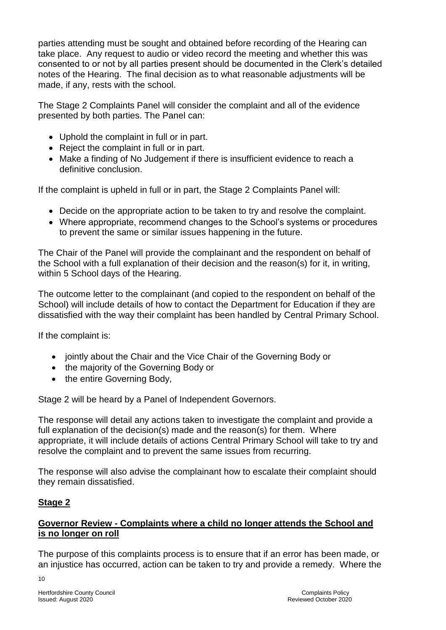parties attending must be sought and obtained before recording of the Hearing can take place. Any request to audio or video record the meeting and whether this was consented to or not by all parties present should be documented in the Clerk's detailed notes of the Hearing. The final decision as to what reasonable adjustments will be made, if any, rests with the school.

The Stage 2 Complaints Panel will consider the complaint and all of the evidence presented by both parties. The Panel can:

- Uphold the complaint in full or in part.
- Reject the complaint in full or in part.
- Make a finding of No Judgement if there is insufficient evidence to reach a definitive conclusion.

If the complaint is upheld in full or in part, the Stage 2 Complaints Panel will:

- Decide on the appropriate action to be taken to try and resolve the complaint.
- Where appropriate, recommend changes to the School's systems or procedures to prevent the same or similar issues happening in the future.

The Chair of the Panel will provide the complainant and the respondent on behalf of the School with a full explanation of their decision and the reason(s) for it, in writing, within 5 School days of the Hearing.

The outcome letter to the complainant (and copied to the respondent on behalf of the School) will include details of how to contact the Department for Education if they are dissatisfied with the way their complaint has been handled by Central Primary School.

If the complaint is:

- jointly about the Chair and the Vice Chair of the Governing Body or
- the majority of the Governing Body or
- the entire Governing Body,

Stage 2 will be heard by a Panel of Independent Governors.

The response will detail any actions taken to investigate the complaint and provide a full explanation of the decision(s) made and the reason(s) for them. Where appropriate, it will include details of actions Central Primary School will take to try and resolve the complaint and to prevent the same issues from recurring.

The response will also advise the complainant how to escalate their complaint should they remain dissatisfied.

# **Stage 2**

#### **Governor Review - Complaints where a child no longer attends the School and is no longer on roll**

The purpose of this complaints process is to ensure that if an error has been made, or an injustice has occurred, action can be taken to try and provide a remedy. Where the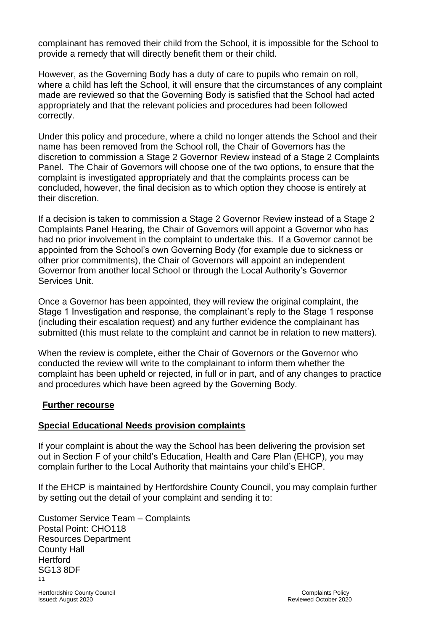complainant has removed their child from the School, it is impossible for the School to provide a remedy that will directly benefit them or their child.

However, as the Governing Body has a duty of care to pupils who remain on roll, where a child has left the School, it will ensure that the circumstances of any complaint made are reviewed so that the Governing Body is satisfied that the School had acted appropriately and that the relevant policies and procedures had been followed correctly.

Under this policy and procedure, where a child no longer attends the School and their name has been removed from the School roll, the Chair of Governors has the discretion to commission a Stage 2 Governor Review instead of a Stage 2 Complaints Panel. The Chair of Governors will choose one of the two options, to ensure that the complaint is investigated appropriately and that the complaints process can be concluded, however, the final decision as to which option they choose is entirely at their discretion.

If a decision is taken to commission a Stage 2 Governor Review instead of a Stage 2 Complaints Panel Hearing, the Chair of Governors will appoint a Governor who has had no prior involvement in the complaint to undertake this. If a Governor cannot be appointed from the School's own Governing Body (for example due to sickness or other prior commitments), the Chair of Governors will appoint an independent Governor from another local School or through the Local Authority's Governor Services Unit.

Once a Governor has been appointed, they will review the original complaint, the Stage 1 Investigation and response, the complainant's reply to the Stage 1 response (including their escalation request) and any further evidence the complainant has submitted (this must relate to the complaint and cannot be in relation to new matters).

When the review is complete, either the Chair of Governors or the Governor who conducted the review will write to the complainant to inform them whether the complaint has been upheld or rejected, in full or in part, and of any changes to practice and procedures which have been agreed by the Governing Body.

#### **Further recourse**

#### **Special Educational Needs provision complaints**

If your complaint is about the way the School has been delivering the provision set out in Section F of your child's Education, Health and Care Plan (EHCP), you may complain further to the Local Authority that maintains your child's EHCP.

If the EHCP is maintained by Hertfordshire County Council, you may complain further by setting out the detail of your complaint and sending it to:

11 Customer Service Team – Complaints Postal Point: CHO118 Resources Department County Hall **Hertford** SG13 8DF

Hertfordshire County Council Complaints Policy Issued: August 2020 Reviewed October 2020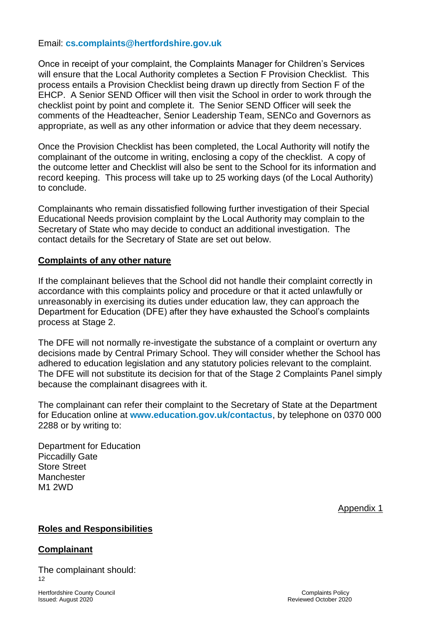#### Email: **[cs.complaints@hertfordshire.gov.uk](mailto:cs.complaints@hertfordshire.gov.uk)**

Once in receipt of your complaint, the Complaints Manager for Children's Services will ensure that the Local Authority completes a Section F Provision Checklist. This process entails a Provision Checklist being drawn up directly from Section F of the EHCP. A Senior SEND Officer will then visit the School in order to work through the checklist point by point and complete it. The Senior SEND Officer will seek the comments of the Headteacher, Senior Leadership Team, SENCo and Governors as appropriate, as well as any other information or advice that they deem necessary.

Once the Provision Checklist has been completed, the Local Authority will notify the complainant of the outcome in writing, enclosing a copy of the checklist. A copy of the outcome letter and Checklist will also be sent to the School for its information and record keeping. This process will take up to 25 working days (of the Local Authority) to conclude.

Complainants who remain dissatisfied following further investigation of their Special Educational Needs provision complaint by the Local Authority may complain to the Secretary of State who may decide to conduct an additional investigation. The contact details for the Secretary of State are set out below.

#### **Complaints of any other nature**

If the complainant believes that the School did not handle their complaint correctly in accordance with this complaints policy and procedure or that it acted unlawfully or unreasonably in exercising its duties under education law, they can approach the Department for Education (DFE) after they have exhausted the School's complaints process at Stage 2.

The DFE will not normally re-investigate the substance of a complaint or overturn any decisions made by Central Primary School. They will consider whether the School has adhered to education legislation and any statutory policies relevant to the complaint. The DFE will not substitute its decision for that of the Stage 2 Complaints Panel simply because the complainant disagrees with it.

The complainant can refer their complaint to the Secretary of State at the Department for Education online at **[www.education.gov.uk/contactus](http://www.education.gov.uk/contactus)**, by telephone on 0370 000 2288 or by writing to:

Department for Education Piccadilly Gate Store Street **Manchester** M1 2WD

Appendix 1

#### **Roles and Responsibilities**

#### **Complainant**

12 The complainant should:

Hertfordshire County Council Complaints Policy Issued: August 2020 Reviewed October 2020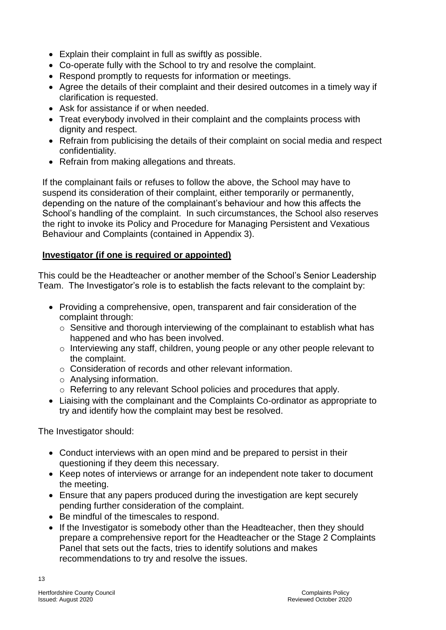- Explain their complaint in full as swiftly as possible.
- Co-operate fully with the School to try and resolve the complaint.
- Respond promptly to requests for information or meetings.
- Agree the details of their complaint and their desired outcomes in a timely way if clarification is requested.
- Ask for assistance if or when needed.
- Treat everybody involved in their complaint and the complaints process with dignity and respect.
- Refrain from publicising the details of their complaint on social media and respect confidentiality.
- Refrain from making allegations and threats.

If the complainant fails or refuses to follow the above, the School may have to suspend its consideration of their complaint, either temporarily or permanently, depending on the nature of the complainant's behaviour and how this affects the School's handling of the complaint. In such circumstances, the School also reserves the right to invoke its Policy and Procedure for Managing Persistent and Vexatious Behaviour and Complaints (contained in Appendix 3).

# **Investigator (if one is required or appointed)**

This could be the Headteacher or another member of the School's Senior Leadership Team. The Investigator's role is to establish the facts relevant to the complaint by:

- Providing a comprehensive, open, transparent and fair consideration of the complaint through:
	- $\circ$  Sensitive and thorough interviewing of the complainant to establish what has happened and who has been involved.
	- o Interviewing any staff, children, young people or any other people relevant to the complaint.
	- o Consideration of records and other relevant information.
	- o Analysing information.
	- o Referring to any relevant School policies and procedures that apply.
- Liaising with the complainant and the Complaints Co-ordinator as appropriate to try and identify how the complaint may best be resolved.

The Investigator should:

- Conduct interviews with an open mind and be prepared to persist in their questioning if they deem this necessary.
- Keep notes of interviews or arrange for an independent note taker to document the meeting.
- Ensure that any papers produced during the investigation are kept securely pending further consideration of the complaint.
- Be mindful of the timescales to respond.
- If the Investigator is somebody other than the Headteacher, then they should prepare a comprehensive report for the Headteacher or the Stage 2 Complaints Panel that sets out the facts, tries to identify solutions and makes recommendations to try and resolve the issues.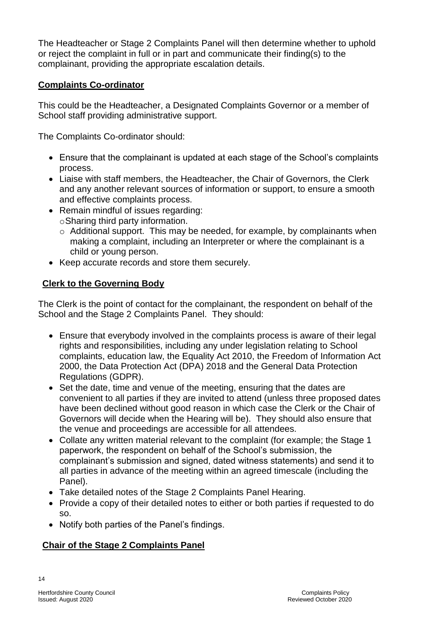The Headteacher or Stage 2 Complaints Panel will then determine whether to uphold or reject the complaint in full or in part and communicate their finding(s) to the complainant, providing the appropriate escalation details.

## **Complaints Co-ordinator**

This could be the Headteacher, a Designated Complaints Governor or a member of School staff providing administrative support.

The Complaints Co-ordinator should:

- Ensure that the complainant is updated at each stage of the School's complaints process.
- Liaise with staff members, the Headteacher, the Chair of Governors, the Clerk and any another relevant sources of information or support, to ensure a smooth and effective complaints process.
- Remain mindful of issues regarding:
	- oSharing third party information.
	- o Additional support. This may be needed, for example, by complainants when making a complaint, including an Interpreter or where the complainant is a child or young person.
- Keep accurate records and store them securely.

# **Clerk to the Governing Body**

The Clerk is the point of contact for the complainant, the respondent on behalf of the School and the Stage 2 Complaints Panel. They should:

- Ensure that everybody involved in the complaints process is aware of their legal rights and responsibilities, including any under legislation relating to School complaints, education law, the Equality Act 2010, the Freedom of Information Act 2000, the Data Protection Act (DPA) 2018 and the General Data Protection Regulations (GDPR).
- Set the date, time and venue of the meeting, ensuring that the dates are convenient to all parties if they are invited to attend (unless three proposed dates have been declined without good reason in which case the Clerk or the Chair of Governors will decide when the Hearing will be). They should also ensure that the venue and proceedings are accessible for all attendees.
- Collate any written material relevant to the complaint (for example; the Stage 1 paperwork, the respondent on behalf of the School's submission, the complainant's submission and signed, dated witness statements) and send it to all parties in advance of the meeting within an agreed timescale (including the Panel).
- Take detailed notes of the Stage 2 Complaints Panel Hearing.
- Provide a copy of their detailed notes to either or both parties if requested to do so.
- Notify both parties of the Panel's findings.

# **Chair of the Stage 2 Complaints Panel**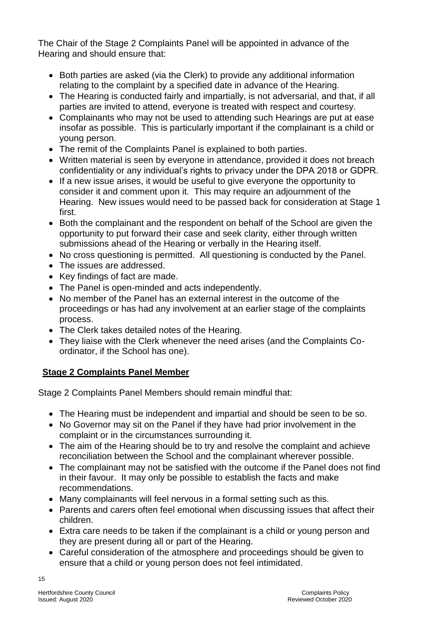The Chair of the Stage 2 Complaints Panel will be appointed in advance of the Hearing and should ensure that:

- Both parties are asked (via the Clerk) to provide any additional information relating to the complaint by a specified date in advance of the Hearing.
- The Hearing is conducted fairly and impartially, is not adversarial, and that, if all parties are invited to attend, everyone is treated with respect and courtesy.
- Complainants who may not be used to attending such Hearings are put at ease insofar as possible. This is particularly important if the complainant is a child or young person.
- The remit of the Complaints Panel is explained to both parties.
- Written material is seen by everyone in attendance, provided it does not breach confidentiality or any individual's rights to privacy under the DPA 2018 or GDPR.
- If a new issue arises, it would be useful to give everyone the opportunity to consider it and comment upon it. This may require an adjournment of the Hearing. New issues would need to be passed back for consideration at Stage 1 first.
- Both the complainant and the respondent on behalf of the School are given the opportunity to put forward their case and seek clarity, either through written submissions ahead of the Hearing or verbally in the Hearing itself.
- No cross questioning is permitted. All questioning is conducted by the Panel.
- The issues are addressed.
- Key findings of fact are made.
- The Panel is open-minded and acts independently.
- No member of the Panel has an external interest in the outcome of the proceedings or has had any involvement at an earlier stage of the complaints process.
- The Clerk takes detailed notes of the Hearing.
- They liaise with the Clerk whenever the need arises (and the Complaints Coordinator, if the School has one).

# **Stage 2 Complaints Panel Member**

Stage 2 Complaints Panel Members should remain mindful that:

- The Hearing must be independent and impartial and should be seen to be so.
- No Governor may sit on the Panel if they have had prior involvement in the complaint or in the circumstances surrounding it.
- The aim of the Hearing should be to try and resolve the complaint and achieve reconciliation between the School and the complainant wherever possible.
- The complainant may not be satisfied with the outcome if the Panel does not find in their favour. It may only be possible to establish the facts and make recommendations.
- Many complainants will feel nervous in a formal setting such as this.
- Parents and carers often feel emotional when discussing issues that affect their children.
- Extra care needs to be taken if the complainant is a child or young person and they are present during all or part of the Hearing.
- Careful consideration of the atmosphere and proceedings should be given to ensure that a child or young person does not feel intimidated.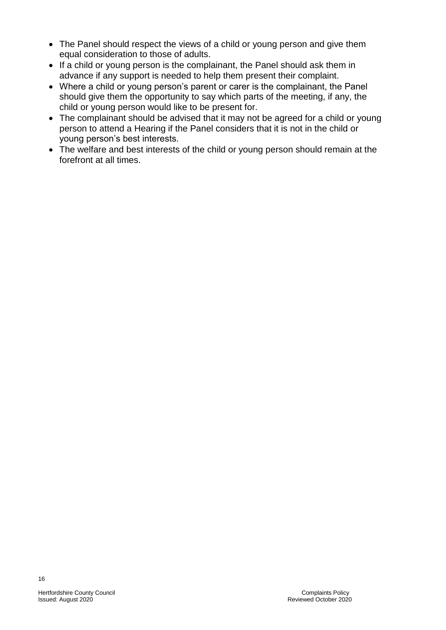- The Panel should respect the views of a child or young person and give them equal consideration to those of adults.
- If a child or young person is the complainant, the Panel should ask them in advance if any support is needed to help them present their complaint.
- Where a child or young person's parent or carer is the complainant, the Panel should give them the opportunity to say which parts of the meeting, if any, the child or young person would like to be present for.
- The complainant should be advised that it may not be agreed for a child or young person to attend a Hearing if the Panel considers that it is not in the child or young person's best interests.
- The welfare and best interests of the child or young person should remain at the forefront at all times.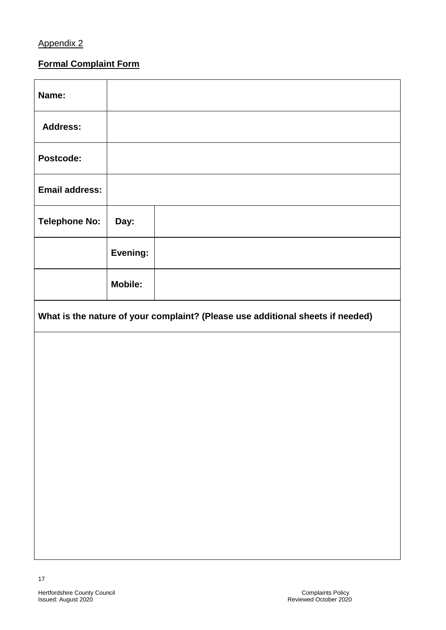## Appendix 2

# **Formal Complaint Form**

| Name:                                                                          |                |  |  |  |
|--------------------------------------------------------------------------------|----------------|--|--|--|
| <b>Address:</b>                                                                |                |  |  |  |
| Postcode:                                                                      |                |  |  |  |
| <b>Email address:</b>                                                          |                |  |  |  |
| <b>Telephone No:</b>                                                           | Day:           |  |  |  |
|                                                                                | Evening:       |  |  |  |
|                                                                                | <b>Mobile:</b> |  |  |  |
| What is the nature of your complaint? (Please use additional sheets if needed) |                |  |  |  |
|                                                                                |                |  |  |  |
|                                                                                |                |  |  |  |
|                                                                                |                |  |  |  |
|                                                                                |                |  |  |  |
|                                                                                |                |  |  |  |
|                                                                                |                |  |  |  |
|                                                                                |                |  |  |  |
|                                                                                |                |  |  |  |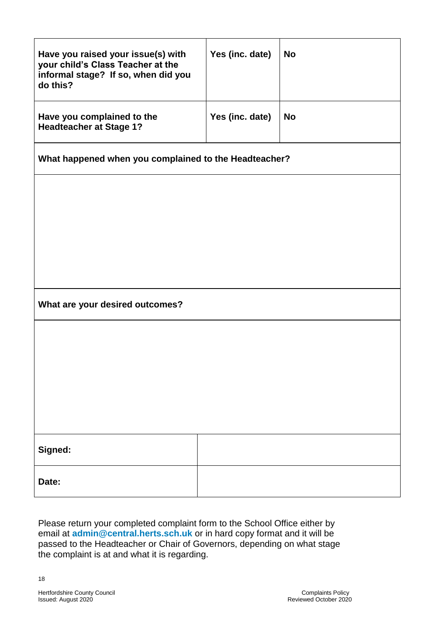| Have you raised your issue(s) with<br>your child's Class Teacher at the<br>informal stage? If so, when did you<br>do this? | Yes (inc. date) | <b>No</b> |  |  |
|----------------------------------------------------------------------------------------------------------------------------|-----------------|-----------|--|--|
| Have you complained to the<br><b>Headteacher at Stage 1?</b>                                                               | Yes (inc. date) | <b>No</b> |  |  |
| What happened when you complained to the Headteacher?                                                                      |                 |           |  |  |
|                                                                                                                            |                 |           |  |  |
|                                                                                                                            |                 |           |  |  |
|                                                                                                                            |                 |           |  |  |
|                                                                                                                            |                 |           |  |  |
| What are your desired outcomes?                                                                                            |                 |           |  |  |
|                                                                                                                            |                 |           |  |  |
|                                                                                                                            |                 |           |  |  |
|                                                                                                                            |                 |           |  |  |
|                                                                                                                            |                 |           |  |  |
| Signed:                                                                                                                    |                 |           |  |  |
| Date:                                                                                                                      |                 |           |  |  |

Please return your completed complaint form to the School Office either by email at **[admin@central.herts.sch.uk](mailto:admin@central.herts.sch.uk)** or in hard copy format and it will be passed to the Headteacher or Chair of Governors, depending on what stage the complaint is at and what it is regarding.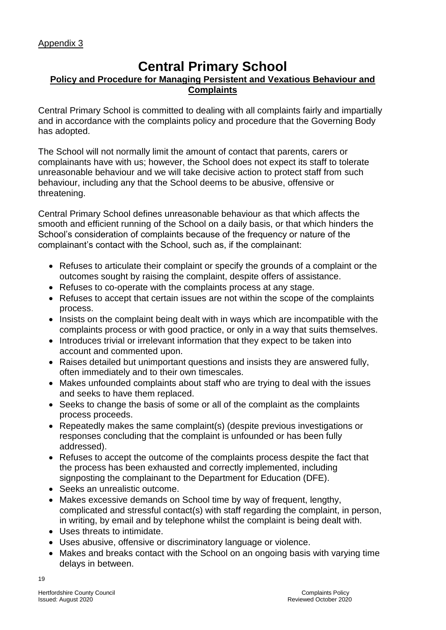# **Central Primary School**

#### **Policy and Procedure for Managing Persistent and Vexatious Behaviour and Complaints**

Central Primary School is committed to dealing with all complaints fairly and impartially and in accordance with the complaints policy and procedure that the Governing Body has adopted.

The School will not normally limit the amount of contact that parents, carers or complainants have with us; however, the School does not expect its staff to tolerate unreasonable behaviour and we will take decisive action to protect staff from such behaviour, including any that the School deems to be abusive, offensive or threatening.

Central Primary School defines unreasonable behaviour as that which affects the smooth and efficient running of the School on a daily basis, or that which hinders the School's consideration of complaints because of the frequency or nature of the complainant's contact with the School, such as, if the complainant:

- Refuses to articulate their complaint or specify the grounds of a complaint or the outcomes sought by raising the complaint, despite offers of assistance.
- Refuses to co-operate with the complaints process at any stage.
- Refuses to accept that certain issues are not within the scope of the complaints process.
- Insists on the complaint being dealt with in ways which are incompatible with the complaints process or with good practice, or only in a way that suits themselves.
- Introduces trivial or irrelevant information that they expect to be taken into account and commented upon.
- Raises detailed but unimportant questions and insists they are answered fully, often immediately and to their own timescales.
- Makes unfounded complaints about staff who are trying to deal with the issues and seeks to have them replaced.
- Seeks to change the basis of some or all of the complaint as the complaints process proceeds.
- Repeatedly makes the same complaint(s) (despite previous investigations or responses concluding that the complaint is unfounded or has been fully addressed).
- Refuses to accept the outcome of the complaints process despite the fact that the process has been exhausted and correctly implemented, including signposting the complainant to the Department for Education (DFE).
- Seeks an unrealistic outcome.
- Makes excessive demands on School time by way of frequent, lengthy, complicated and stressful contact(s) with staff regarding the complaint, in person, in writing, by email and by telephone whilst the complaint is being dealt with.
- Uses threats to intimidate.
- Uses abusive, offensive or discriminatory language or violence.
- Makes and breaks contact with the School on an ongoing basis with varying time delays in between.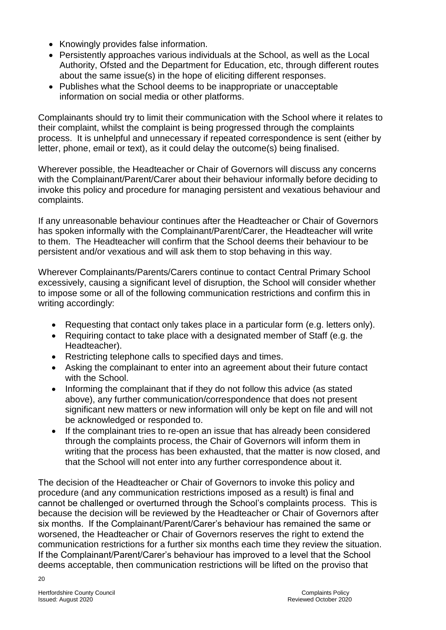- Knowingly provides false information.
- Persistently approaches various individuals at the School, as well as the Local Authority, Ofsted and the Department for Education, etc, through different routes about the same issue(s) in the hope of eliciting different responses.
- Publishes what the School deems to be inappropriate or unacceptable information on social media or other platforms.

Complainants should try to limit their communication with the School where it relates to their complaint, whilst the complaint is being progressed through the complaints process. It is unhelpful and unnecessary if repeated correspondence is sent (either by letter, phone, email or text), as it could delay the outcome(s) being finalised.

Wherever possible, the Headteacher or Chair of Governors will discuss any concerns with the Complainant/Parent/Carer about their behaviour informally before deciding to invoke this policy and procedure for managing persistent and vexatious behaviour and complaints.

If any unreasonable behaviour continues after the Headteacher or Chair of Governors has spoken informally with the Complainant/Parent/Carer, the Headteacher will write to them. The Headteacher will confirm that the School deems their behaviour to be persistent and/or vexatious and will ask them to stop behaving in this way.

Wherever Complainants/Parents/Carers continue to contact Central Primary School excessively, causing a significant level of disruption, the School will consider whether to impose some or all of the following communication restrictions and confirm this in writing accordingly:

- Requesting that contact only takes place in a particular form (e.g. letters only).
- Requiring contact to take place with a designated member of Staff (e.g. the Headteacher).
- Restricting telephone calls to specified days and times.
- Asking the complainant to enter into an agreement about their future contact with the School.
- Informing the complainant that if they do not follow this advice (as stated above), any further communication/correspondence that does not present significant new matters or new information will only be kept on file and will not be acknowledged or responded to.
- If the complainant tries to re-open an issue that has already been considered through the complaints process, the Chair of Governors will inform them in writing that the process has been exhausted, that the matter is now closed, and that the School will not enter into any further correspondence about it.

The decision of the Headteacher or Chair of Governors to invoke this policy and procedure (and any communication restrictions imposed as a result) is final and cannot be challenged or overturned through the School's complaints process. This is because the decision will be reviewed by the Headteacher or Chair of Governors after six months. If the Complainant/Parent/Carer's behaviour has remained the same or worsened, the Headteacher or Chair of Governors reserves the right to extend the communication restrictions for a further six months each time they review the situation. If the Complainant/Parent/Carer's behaviour has improved to a level that the School deems acceptable, then communication restrictions will be lifted on the proviso that